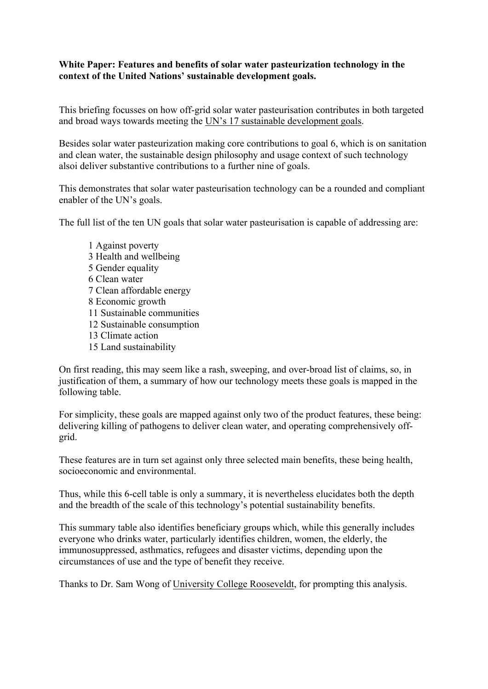## **White Paper: Features and benefits of solar water pasteurization technology in the context of the United Nations' sustainable development goals.**

This briefing focusses on how off-grid solar water pasteurisation contributes in both targeted and broad ways towards meeting the UN's 17 sustainable development goals.

Besides solar water pasteurization making core contributions to goal 6, which is on sanitation and clean water, the sustainable design philosophy and usage context of such technology alsoi deliver substantive contributions to a further nine of goals.

This demonstrates that solar water pasteurisation technology can be a rounded and compliant enabler of the UN's goals.

The full list of the ten UN goals that solar water pasteurisation is capable of addressing are:

1 Against poverty 3 Health and wellbeing 5 Gender equality 6 Clean water 7 Clean affordable energy 8 Economic growth 11 Sustainable communities 12 Sustainable consumption 13 Climate action 15 Land sustainability

On first reading, this may seem like a rash, sweeping, and over-broad list of claims, so, in justification of them, a summary of how our technology meets these goals is mapped in the following table.

For simplicity, these goals are mapped against only two of the product features, these being: delivering killing of pathogens to deliver clean water, and operating comprehensively offgrid.

These features are in turn set against only three selected main benefits, these being health, socioeconomic and environmental.

Thus, while this 6-cell table is only a summary, it is nevertheless elucidates both the depth and the breadth of the scale of this technology's potential sustainability benefits.

This summary table also identifies beneficiary groups which, while this generally includes everyone who drinks water, particularly identifies children, women, the elderly, the immunosuppressed, asthmatics, refugees and disaster victims, depending upon the circumstances of use and the type of benefit they receive.

Thanks to Dr. Sam Wong of University College Rooseveldt, for prompting this analysis.